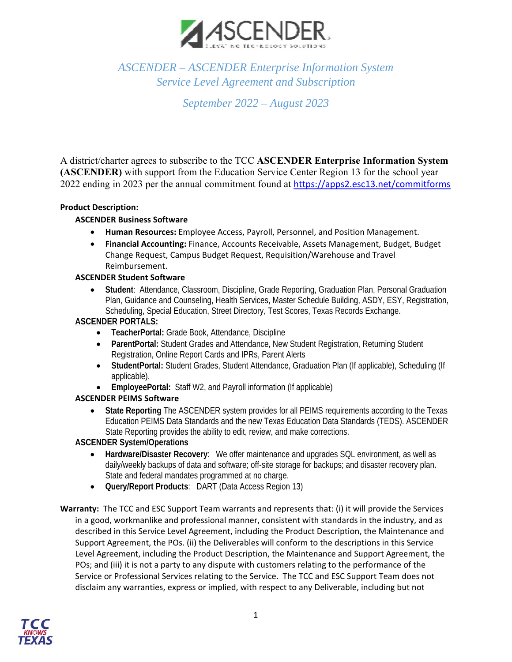

# *ASCENDER – ASCENDER Enterprise Information System Service Level Agreement and Subscription*

*September 2022 – August 2023* 

A district/charter agrees to subscribe to the TCC **ASCENDER Enterprise Information System (ASCENDER)** with support from the Education Service Center Region 13 for the school year 2022 ending in 2023 per the annual commitment found at https://apps2.esc13.net/commitforms

# **Product Description:**

## **ASCENDER Business Software**

- **Human Resources:** Employee Access, Payroll, Personnel, and Position Management.
- **Financial Accounting:** Finance, Accounts Receivable, Assets Management, Budget, Budget Change Request, Campus Budget Request, Requisition/Warehouse and Travel Reimbursement.

#### **ASCENDER Student Software**

 **Student**: Attendance, Classroom, Discipline, Grade Reporting, Graduation Plan, Personal Graduation Plan, Guidance and Counseling, Health Services, Master Schedule Building, ASDY, ESY, Registration, Scheduling, Special Education, Street Directory, Test Scores, Texas Records Exchange.

# **ASCENDER PORTALS:**

- **TeacherPortal:** Grade Book, Attendance, Discipline
- **ParentPortal: Student Grades and Attendance, New Student Registration, Returning Student** Registration, Online Report Cards and IPRs, Parent Alerts
- **StudentPortal:** Student Grades, Student Attendance, Graduation Plan (If applicable), Scheduling (If applicable).
- **EmployeePortal:** Staff W2, and Payroll information (If applicable)

## **ASCENDER PEIMS Software**

 **State Reporting** The ASCENDER system provides for all PEIMS requirements according to the Texas Education PEIMS Data Standards and the new Texas Education Data Standards (TEDS). ASCENDER State Reporting provides the ability to edit, review, and make corrections.

## **ASCENDER System/Operations**

- **Hardware/Disaster Recovery**: We offer maintenance and upgrades SQL environment, as well as daily/weekly backups of data and software; off-site storage for backups; and disaster recovery plan. State and federal mandates programmed at no charge.
- **Query/Report Products**: DART (Data Access Region 13)
- Warranty: The TCC and ESC Support Team warrants and represents that: (i) it will provide the Services in a good, workmanlike and professional manner, consistent with standards in the industry, and as described in this Service Level Agreement, including the Product Description, the Maintenance and Support Agreement, the POs. (ii) the Deliverables will conform to the descriptions in this Service Level Agreement, including the Product Description, the Maintenance and Support Agreement, the POs; and (iii) it is not a party to any dispute with customers relating to the performance of the Service or Professional Services relating to the Service. The TCC and ESC Support Team does not disclaim any warranties, express or implied, with respect to any Deliverable, including but not

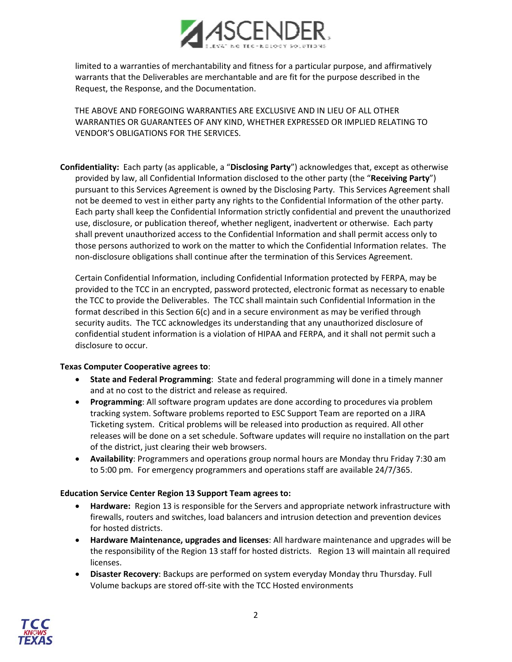

limited to a warranties of merchantability and fitness for a particular purpose, and affirmatively warrants that the Deliverables are merchantable and are fit for the purpose described in the Request, the Response, and the Documentation.

 THE ABOVE AND FOREGOING WARRANTIES ARE EXCLUSIVE AND IN LIEU OF ALL OTHER WARRANTIES OR GUARANTEES OF ANY KIND, WHETHER EXPRESSED OR IMPLIED RELATING TO VENDOR'S OBLIGATIONS FOR THE SERVICES.

**Confidentiality:** Each party (as applicable, a "**Disclosing Party**") acknowledges that, except as otherwise provided by law, all Confidential Information disclosed to the other party (the "**Receiving Party**") pursuant to this Services Agreement is owned by the Disclosing Party. This Services Agreement shall not be deemed to vest in either party any rights to the Confidential Information of the other party. Each party shall keep the Confidential Information strictly confidential and prevent the unauthorized use, disclosure, or publication thereof, whether negligent, inadvertent or otherwise. Each party shall prevent unauthorized access to the Confidential Information and shall permit access only to those persons authorized to work on the matter to which the Confidential Information relates. The non‐disclosure obligations shall continue after the termination of this Services Agreement.

Certain Confidential Information, including Confidential Information protected by FERPA, may be provided to the TCC in an encrypted, password protected, electronic format as necessary to enable the TCC to provide the Deliverables. The TCC shall maintain such Confidential Information in the format described in this Section 6(c) and in a secure environment as may be verified through security audits. The TCC acknowledges its understanding that any unauthorized disclosure of confidential student information is a violation of HIPAA and FERPA, and it shall not permit such a disclosure to occur.

#### **Texas Computer Cooperative agrees to**:

- **State and Federal Programming**: State and federal programming will done in a timely manner and at no cost to the district and release as required.
- **Programming**: All software program updates are done according to procedures via problem tracking system. Software problems reported to ESC Support Team are reported on a JIRA Ticketing system. Critical problems will be released into production as required. All other releases will be done on a set schedule. Software updates will require no installation on the part of the district, just clearing their web browsers.
- **Availability**: Programmers and operations group normal hours are Monday thru Friday 7:30 am to 5:00 pm. For emergency programmers and operations staff are available 24/7/365.

#### **Education Service Center Region 13 Support Team agrees to:**

- **Hardware:** Region 13 is responsible for the Servers and appropriate network infrastructure with firewalls, routers and switches, load balancers and intrusion detection and prevention devices for hosted districts.
- **Hardware Maintenance, upgrades and licenses**: All hardware maintenance and upgrades will be the responsibility of the Region 13 staff for hosted districts. Region 13 will maintain all required licenses.
- **Disaster Recovery**: Backups are performed on system everyday Monday thru Thursday. Full Volume backups are stored off‐site with the TCC Hosted environments

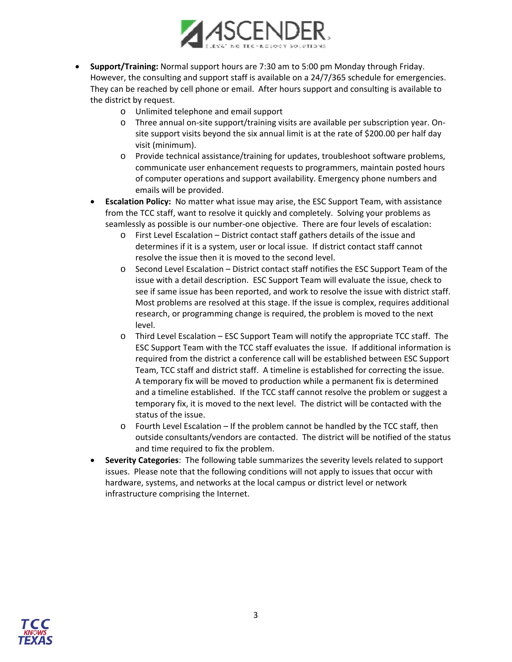

- **Support/Training:** Normal support hours are 7:30 am to 5:00 pm Monday through Friday. However, the consulting and support staff is available on a 24/7/365 schedule for emergencies. They can be reached by cell phone or email. After hours support and consulting is available to the district by request.
	- o Unlimited telephone and email support
	- o Three annual on‐site support/training visits are available per subscription year. On‐ site support visits beyond the six annual limit is at the rate of \$200.00 per half day visit (minimum).
	- o Provide technical assistance/training for updates, troubleshoot software problems, communicate user enhancement requests to programmers, maintain posted hours of computer operations and support availability. Emergency phone numbers and emails will be provided.
	- **Escalation Policy:** No matter what issue may arise, the ESC Support Team, with assistance from the TCC staff, want to resolve it quickly and completely. Solving your problems as seamlessly as possible is our number-one objective. There are four levels of escalation:
		- o First Level Escalation District contact staff gathers details of the issue and determines if it is a system, user or local issue. If district contact staff cannot resolve the issue then it is moved to the second level.
		- o Second Level Escalation District contact staff notifies the ESC Support Team of the issue with a detail description. ESC Support Team will evaluate the issue, check to see if same issue has been reported, and work to resolve the issue with district staff. Most problems are resolved at this stage. If the issue is complex, requires additional research, or programming change is required, the problem is moved to the next level.
		- o Third Level Escalation ESC Support Team will notify the appropriate TCC staff. The ESC Support Team with the TCC staff evaluates the issue. If additional information is required from the district a conference call will be established between ESC Support Team, TCC staff and district staff. A timeline is established for correcting the issue. A temporary fix will be moved to production while a permanent fix is determined and a timeline established. If the TCC staff cannot resolve the problem or suggest a temporary fix, it is moved to the next level. The district will be contacted with the status of the issue.
		- o Fourth Level Escalation If the problem cannot be handled by the TCC staff, then outside consultants/vendors are contacted. The district will be notified of the status and time required to fix the problem.
	- **Severity Categories**: The following table summarizes the severity levels related to support issues. Please note that the following conditions will not apply to issues that occur with hardware, systems, and networks at the local campus or district level or network infrastructure comprising the Internet.